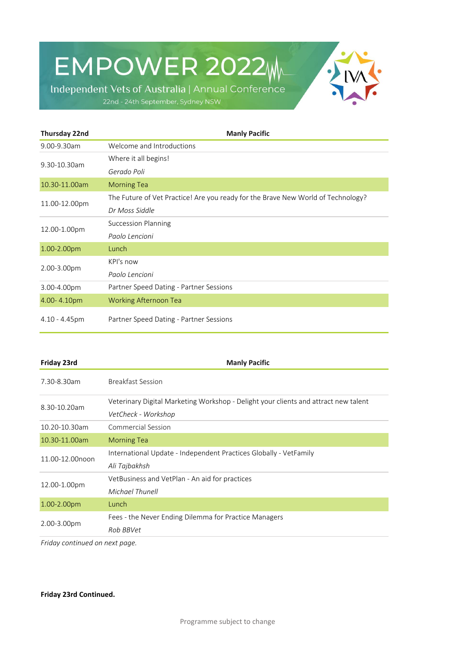EMPOWER 2022M



Independent Vets of Australia | Annual Conference 22nd - 24th September, Sydney NSW

| Thursday 22nd    | <b>Manly Pacific</b>                                                             |
|------------------|----------------------------------------------------------------------------------|
| 9.00-9.30am      | Welcome and Introductions                                                        |
| 9.30-10.30am     | Where it all begins!                                                             |
|                  | Gerado Poli                                                                      |
| 10.30-11.00am    | <b>Morning Tea</b>                                                               |
| 11.00-12.00pm    | The Future of Vet Practice! Are you ready for the Brave New World of Technology? |
|                  | Dr Moss Siddle                                                                   |
| 12.00-1.00pm     | Succession Planning                                                              |
|                  | Paolo Lencioni                                                                   |
| 1.00-2.00pm      | Lunch                                                                            |
| 2.00-3.00pm      | KPI's now                                                                        |
|                  | Paolo Lencioni                                                                   |
| 3.00-4.00pm      | Partner Speed Dating - Partner Sessions                                          |
| 4.00-4.10pm      | <b>Working Afternoon Tea</b>                                                     |
| $4.10 - 4.45$ pm | Partner Speed Dating - Partner Sessions                                          |

| <b>Manly Pacific</b>                                                                |
|-------------------------------------------------------------------------------------|
| <b>Breakfast Session</b>                                                            |
| Veterinary Digital Marketing Workshop - Delight your clients and attract new talent |
| VetCheck - Workshop                                                                 |
| <b>Commercial Session</b>                                                           |
| <b>Morning Tea</b>                                                                  |
| International Update - Independent Practices Globally - VetFamily                   |
| Ali Tajbakhsh                                                                       |
| VetBusiness and VetPlan - An aid for practices                                      |
| Michael Thunell                                                                     |
| Lunch                                                                               |
| Fees - the Never Ending Dilemma for Practice Managers                               |
| Rob BBVet                                                                           |
|                                                                                     |

*Friday continued on next page.*